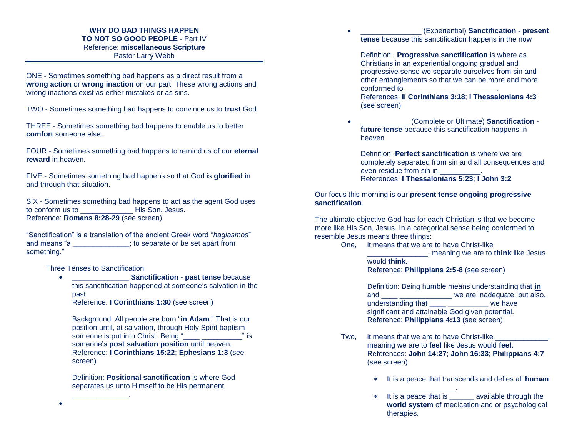## **WHY DO BAD THINGS HAPPEN TO NOT SO GOOD PEOPLE** - Part IV Reference: **miscellaneous Scripture** Pastor Larry Webb

ONE - Sometimes something bad happens as a direct result from a **wrong action** or **wrong inaction** on our part. These wrong actions and wrong inactions exist as either mistakes or as sins.

TWO - Sometimes something bad happens to convince us to **trust** God.

THREE - Sometimes something bad happens to enable us to better **comfort** someone else.

FOUR - Sometimes something bad happens to remind us of our **eternal reward** in heaven.

FIVE - Sometimes something bad happens so that God is **glorified** in and through that situation.

SIX - Sometimes something bad happens to act as the agent God uses to conform us to \_\_\_\_\_\_\_\_\_\_\_\_\_ His Son, Jesus. Reference: **Romans 8:28-29** (see screen)

"Sanctification" is a translation of the ancient Greek word "*hagiasmos*" and means "a \_\_\_\_\_\_\_\_\_\_\_\_\_\_; to separate or be set apart from something."

Three Tenses to Sanctification:

\_\_\_\_\_\_\_\_\_\_\_\_\_\_.

 \_\_\_\_\_\_\_\_\_\_\_\_\_\_ **Sanctification** - **past tense** because this sanctification happened at someone's salvation in the past

Reference: **I Corinthians 1:30** (see screen)

Background: All people are born "**in Adam**." That is our position until, at salvation, through Holy Spirit baptism someone is put into Christ. Being "\_\_\_\_ \_\_\_\_\_\_\_\_\_\_" is someone's **post salvation position** until heaven. Reference: **I Corinthians 15:22**; **Ephesians 1:3** (see screen)

Definition: **Positional sanctification** is where God separates us unto Himself to be His permanent

 \_\_\_\_\_\_\_\_\_\_\_\_\_\_\_ (Experiential) **Sanctification** - **present tense** because this sanctification happens in the now

Definition: **Progressive sanctification** is where as Christians in an experiential ongoing gradual and progressive sense we separate ourselves from sin and other entanglements so that we can be more and more conformed to \_\_\_\_\_\_\_\_\_\_\_\_ \_\_\_\_\_\_\_\_\_\_.

References: **II Corinthians 3:18**; **I Thessalonians 4:3** (see screen)

 \_\_\_\_\_\_\_\_\_\_\_\_ (Complete or Ultimate) **Sanctification future tense** because this sanctification happens in heaven

Definition: **Perfect sanctification** is where we are completely separated from sin and all consequences and even residue from sin in \_\_\_\_\_\_\_\_\_\_. References: **I Thessalonians 5:23**; **I John 3:2**

## Our focus this morning is our **present tense ongoing progressive sanctification**.

The ultimate objective God has for each Christian is that we become more like His Son, Jesus. In a categorical sense being conformed to resemble Jesus means three things:

One, it means that we are to have Christ-like

\_\_\_\_\_\_\_\_\_\_\_\_\_\_\_, meaning we are to **think** like Jesus would **think.** Reference: **Philippians 2:5-8** (see screen)

Definition: Being humble means understanding that **in** and **and and we are inadequate; but also,** understanding that \_\_\_\_ **\_\_\_\_\_\_\_\_\_\_** we have significant and attainable God given potential. Reference: **Philippians 4:13** (see screen)

- Two, it means that we are to have Christ-like meaning we are to **feel** like Jesus would **feel**. References: **John 14:27**; **John 16:33**; **Philippians 4:7**  (see screen)
	- It is a peace that transcends and defies all **human**
	- \_\_\_\_\_\_\_\_\_\_\_\_\_\_\_\_\_. \* It is a peace that is \_\_\_\_\_\_\_ available through the **world system** of medication and or psychological therapies.

 $\bullet$